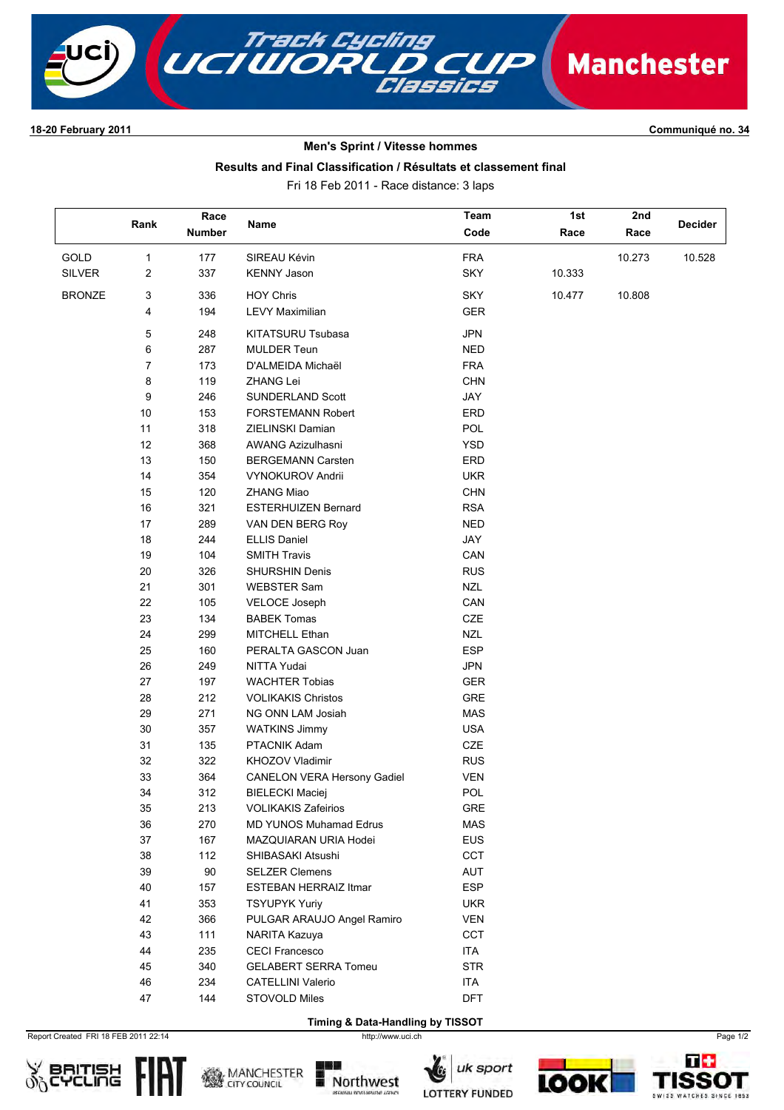

## **1820 February 2011 Communiqué no. 34**

# **Men's Sprint / Vitesse hommes**

## **Results and Final Classification / Résultats et classement final**

Fri 18 Feb 2011 Race distance: 3 laps

|               |                  | Race          |                                    | Team       | 1st    | 2nd    |                |
|---------------|------------------|---------------|------------------------------------|------------|--------|--------|----------------|
|               | Rank             | <b>Number</b> | Name                               | Code       | Race   | Race   | <b>Decider</b> |
|               |                  |               |                                    |            |        |        |                |
| GOLD          | $\mathbf{1}$     | 177           | SIREAU Kévin                       | <b>FRA</b> |        | 10.273 | 10.528         |
| <b>SILVER</b> | $\overline{c}$   | 337           | <b>KENNY Jason</b>                 | <b>SKY</b> | 10.333 |        |                |
| <b>BRONZE</b> | 3                | 336           | <b>HOY Chris</b>                   | <b>SKY</b> | 10.477 | 10.808 |                |
|               | 4                | 194           | <b>LEVY Maximilian</b>             | <b>GER</b> |        |        |                |
|               | $\mathbf 5$      | 248           | KITATSURU Tsubasa                  | <b>JPN</b> |        |        |                |
|               | 6                | 287           | <b>MULDER Teun</b>                 | <b>NED</b> |        |        |                |
|               | $\boldsymbol{7}$ | 173           | D'ALMEIDA Michaël                  | <b>FRA</b> |        |        |                |
|               | 8                | 119           | ZHANG Lei                          | <b>CHN</b> |        |        |                |
|               | 9                | 246           | SUNDERLAND Scott                   | JAY        |        |        |                |
|               | $10\,$           | 153           | FORSTEMANN Robert                  | ERD        |        |        |                |
|               | 11               | 318           | ZIELINSKI Damian                   | POL        |        |        |                |
|               | 12               | 368           | <b>AWANG Azizulhasni</b>           | <b>YSD</b> |        |        |                |
|               | 13               | 150           | <b>BERGEMANN Carsten</b>           | ERD        |        |        |                |
|               | 14               | 354           | <b>VYNOKUROV Andrii</b>            | <b>UKR</b> |        |        |                |
|               | 15               | 120           | ZHANG Miao                         | <b>CHN</b> |        |        |                |
|               | $16\,$           | 321           | <b>ESTERHUIZEN Bernard</b>         | <b>RSA</b> |        |        |                |
|               | 17               | 289           | VAN DEN BERG Roy                   | <b>NED</b> |        |        |                |
|               | $18\,$           | 244           | <b>ELLIS Daniel</b>                | JAY        |        |        |                |
|               | 19               | 104           | <b>SMITH Travis</b>                | CAN        |        |        |                |
|               | 20               | 326           | <b>SHURSHIN Denis</b>              | <b>RUS</b> |        |        |                |
|               | 21               | 301           | <b>WEBSTER Sam</b>                 | <b>NZL</b> |        |        |                |
|               | 22               | 105           | VELOCE Joseph                      | CAN        |        |        |                |
|               | 23               | 134           | <b>BABEK Tomas</b>                 | CZE        |        |        |                |
|               | 24               | 299           | MITCHELL Ethan                     | <b>NZL</b> |        |        |                |
|               | 25               | 160           | PERALTA GASCON Juan                | <b>ESP</b> |        |        |                |
|               | 26               | 249           | NITTA Yudai                        | <b>JPN</b> |        |        |                |
|               | 27               | 197           | <b>WACHTER Tobias</b>              | <b>GER</b> |        |        |                |
|               | 28               | 212           | <b>VOLIKAKIS Christos</b>          | GRE        |        |        |                |
|               | 29               | 271           | NG ONN LAM Josiah                  | <b>MAS</b> |        |        |                |
|               | 30               | 357           | <b>WATKINS Jimmy</b>               | <b>USA</b> |        |        |                |
|               | 31               | 135           | PTACNIK Adam                       | CZE        |        |        |                |
|               | 32               | 322           | KHOZOV Vladimir                    | <b>RUS</b> |        |        |                |
|               | 33               | 364           | <b>CANELON VERA Hersony Gadiel</b> | <b>VEN</b> |        |        |                |
|               | 34               | 312           | <b>BIELECKI Maciej</b>             | POL        |        |        |                |
|               | 35               | 213           | <b>VOLIKAKIS Zafeirios</b>         | GRE        |        |        |                |
|               | 36               | 270           | MD YUNOS Muhamad Edrus             | <b>MAS</b> |        |        |                |
|               | 37               | 167           | MAZQUIARAN URIA Hodei              | <b>EUS</b> |        |        |                |
|               | 38               | 112           | SHIBASAKI Atsushi                  | <b>CCT</b> |        |        |                |
|               | 39               | 90            | <b>SELZER Clemens</b>              | AUT        |        |        |                |
|               | 40               | 157           | <b>ESTEBAN HERRAIZ Itmar</b>       | <b>ESP</b> |        |        |                |
|               | 41               | 353           | <b>TSYUPYK Yuriy</b>               | <b>UKR</b> |        |        |                |
|               | 42               | 366           | PULGAR ARAUJO Angel Ramiro         | <b>VEN</b> |        |        |                |
|               | 43               | 111           | NARITA Kazuya                      | <b>CCT</b> |        |        |                |
|               | 44               | 235           | <b>CECI Francesco</b>              | ITA        |        |        |                |
|               | 45               | 340           | <b>GELABERT SERRA Tomeu</b>        | <b>STR</b> |        |        |                |
|               | 46               | 234           | <b>CATELLINI Valerio</b>           | ITA        |        |        |                |
|               | 47               | 144           | STOVOLD Miles                      | <b>DFT</b> |        |        |                |
|               |                  |               |                                    |            |        |        |                |

Report Created FRI 18 FEB 2011 22:14 http://www.uci.ch Page 1/2 **Timing & Data-Handling by TISSOT**